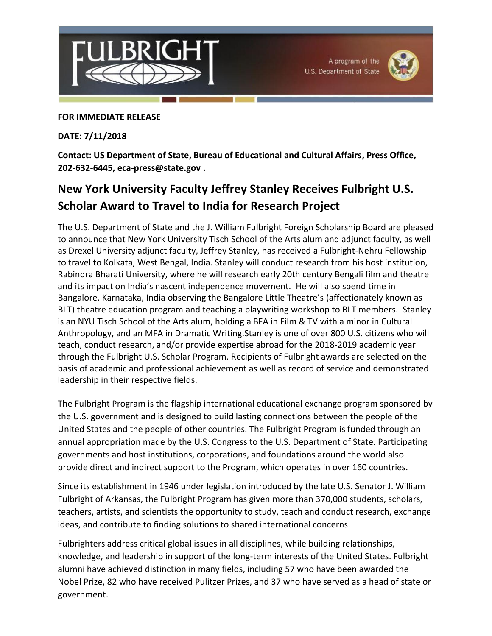



## **FOR IMMEDIATE RELEASE**

## **DATE: 7/11/2018**

**Contact: US Department of State, Bureau of Educational and Cultural Affairs, Press Office, 202-632-6445, eca-press@state.gov .**

## **New York University Faculty Jeffrey Stanley Receives Fulbright U.S. Scholar Award to Travel to India for Research Project**

The U.S. Department of State and the J. William Fulbright Foreign Scholarship Board are pleased to announce that New York University Tisch School of the Arts alum and adjunct faculty, as well as Drexel University adjunct faculty, Jeffrey Stanley, has received a Fulbright‐Nehru Fellowship to travel to Kolkata, West Bengal, India. Stanley will conduct research from his host institution, Rabindra Bharati University, where he will research early 20th century Bengali film and theatre and its impact on India's nascent independence movement. He will also spend time in Bangalore, Karnataka, India observing the Bangalore Little Theatre's (affectionately known as BLT) theatre education program and teaching a playwriting workshop to BLT members. Stanley is an NYU Tisch School of the Arts alum, holding a BFA in Film & TV with a minor in Cultural Anthropology, and an MFA in Dramatic Writing.Stanley is one of over 800 U.S. citizens who will teach, conduct research, and/or provide expertise abroad for the 2018-2019 academic year through the Fulbright U.S. Scholar Program. Recipients of Fulbright awards are selected on the basis of academic and professional achievement as well as record of service and demonstrated leadership in their respective fields.

The Fulbright Program is the flagship international educational exchange program sponsored by the U.S. government and is designed to build lasting connections between the people of the United States and the people of other countries. The Fulbright Program is funded through an annual appropriation made by the U.S. Congress to the U.S. Department of State. Participating governments and host institutions, corporations, and foundations around the world also provide direct and indirect support to the Program, which operates in over 160 countries.

Since its establishment in 1946 under legislation introduced by the late U.S. Senator J. William Fulbright of Arkansas, the Fulbright Program has given more than 370,000 students, scholars, teachers, artists, and scientists the opportunity to study, teach and conduct research, exchange ideas, and contribute to finding solutions to shared international concerns.

Fulbrighters address critical global issues in all disciplines, while building relationships, knowledge, and leadership in support of the long-term interests of the United States. Fulbright alumni have achieved distinction in many fields, including 57 who have been awarded the Nobel Prize, 82 who have received Pulitzer Prizes, and 37 who have served as a head of state or government.